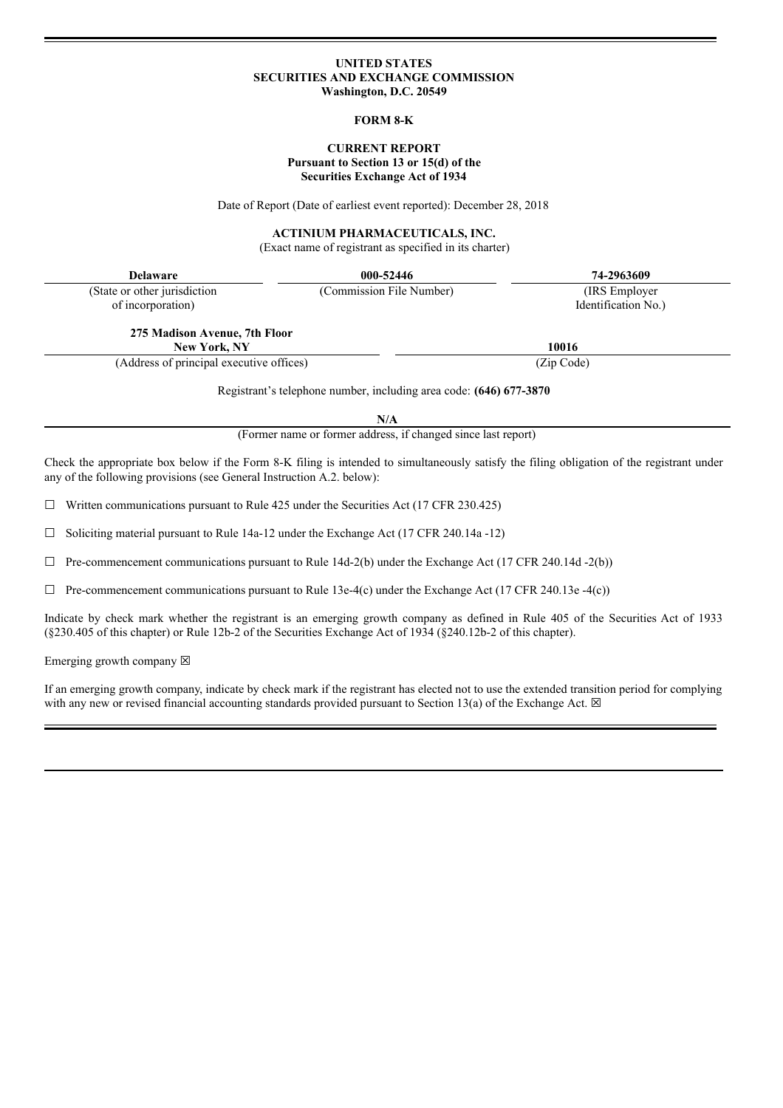#### **UNITED STATES SECURITIES AND EXCHANGE COMMISSION Washington, D.C. 20549**

### **FORM 8-K**

# **CURRENT REPORT Pursuant to Section 13 or 15(d) of the Securities Exchange Act of 1934**

Date of Report (Date of earliest event reported): December 28, 2018

#### **ACTINIUM PHARMACEUTICALS, INC.**

(Exact name of registrant as specified in its charter)

| <b>Delaware</b>                                                                                                                                                                                                     | 000-52446                                                                                                          | 74-2963609          |
|---------------------------------------------------------------------------------------------------------------------------------------------------------------------------------------------------------------------|--------------------------------------------------------------------------------------------------------------------|---------------------|
| (State or other jurisdiction                                                                                                                                                                                        | (Commission File Number)                                                                                           | (IRS Employer)      |
| of incorporation)                                                                                                                                                                                                   |                                                                                                                    | Identification No.) |
| 275 Madison Avenue, 7th Floor                                                                                                                                                                                       |                                                                                                                    |                     |
| <b>New York, NY</b>                                                                                                                                                                                                 |                                                                                                                    | 10016               |
| (Address of principal executive offices)                                                                                                                                                                            |                                                                                                                    | (Zip Code)          |
|                                                                                                                                                                                                                     | Registrant's telephone number, including area code: (646) 677-3870<br>N/A                                          |                     |
|                                                                                                                                                                                                                     | (Former name or former address, if changed since last report)                                                      |                     |
| Check the appropriate box below if the Form 8-K filing is intended to simultaneously satisfy the filing obligation of the registrant under<br>any of the following provisions (see General Instruction A.2. below): |                                                                                                                    |                     |
|                                                                                                                                                                                                                     | $\mathbf{r}$ and $\mathbf{r}$ and $\mathbf{r}$ and $\mathbf{r}$ and $\mathbf{r}$ and $\mathbf{r}$ and $\mathbf{r}$ |                     |

 $\Box$  Written communications pursuant to Rule 425 under the Securities Act (17 CFR 230.425)

 $\Box$  Soliciting material pursuant to Rule 14a-12 under the Exchange Act (17 CFR 240.14a -12)

 $\Box$  Pre-commencement communications pursuant to Rule 14d-2(b) under the Exchange Act (17 CFR 240.14d -2(b))

 $\Box$  Pre-commencement communications pursuant to Rule 13e-4(c) under the Exchange Act (17 CFR 240.13e -4(c))

Indicate by check mark whether the registrant is an emerging growth company as defined in Rule 405 of the Securities Act of 1933 (§230.405 of this chapter) or Rule 12b-2 of the Securities Exchange Act of 1934 (§240.12b-2 of this chapter).

Emerging growth company  $\boxtimes$ 

If an emerging growth company, indicate by check mark if the registrant has elected not to use the extended transition period for complying with any new or revised financial accounting standards provided pursuant to Section 13(a) of the Exchange Act.  $\boxtimes$